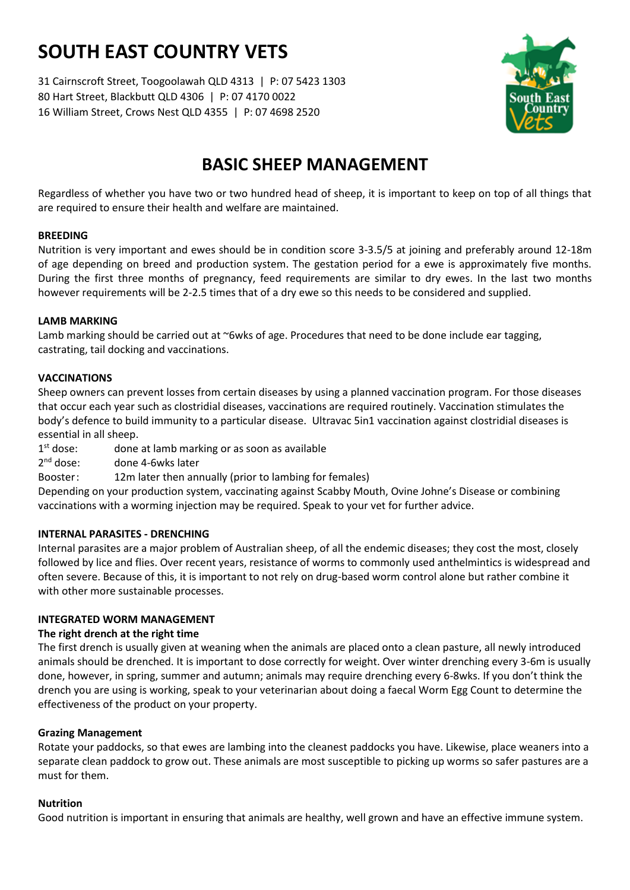# **SOUTH EAST COUNTRY VETS**

31 Cairnscroft Street, Toogoolawah QLD 4313 | P: 07 5423 1303 80 Hart Street, Blackbutt QLD 4306 | P: 07 4170 0022 16 William Street, Crows Nest QLD 4355 | P: 07 4698 2520



# **BASIC SHEEP MANAGEMENT**

Regardless of whether you have two or two hundred head of sheep, it is important to keep on top of all things that are required to ensure their health and welfare are maintained.

# **BREEDING**

Nutrition is very important and ewes should be in condition score 3-3.5/5 at joining and preferably around 12-18m of age depending on breed and production system. The gestation period for a ewe is approximately five months. During the first three months of pregnancy, feed requirements are similar to dry ewes. In the last two months however requirements will be 2-2.5 times that of a dry ewe so this needs to be considered and supplied.

### **LAMB MARKING**

Lamb marking should be carried out at ~6wks of age. Procedures that need to be done include ear tagging, castrating, tail docking and vaccinations.

# **VACCINATIONS**

Sheep owners can prevent losses from certain diseases by using a planned vaccination program. For those diseases that occur each year such as clostridial diseases, vaccinations are required routinely. Vaccination stimulates the body's defence to build immunity to a particular disease. Ultravac 5in1 vaccination against clostridial diseases is essential in all sheep.

 $1<sup>st</sup>$  dose: done at lamb marking or as soon as available

 $2<sup>nd</sup>$  dose: done 4-6wks later

Booster: 12m later then annually (prior to lambing for females)

Depending on your production system, vaccinating against Scabby Mouth, Ovine Johne's Disease or combining vaccinations with a worming injection may be required. Speak to your vet for further advice.

#### **INTERNAL PARASITES - DRENCHING**

Internal parasites are a major problem of Australian sheep, of all the endemic diseases; they cost the most, closely followed by lice and flies. Over recent years, resistance of worms to commonly used anthelmintics is widespread and often severe. Because of this, it is important to not rely on drug-based worm control alone but rather combine it with other more sustainable processes.

# **INTEGRATED WORM MANAGEMENT**

# **The right drench at the right time**

The first drench is usually given at weaning when the animals are placed onto a clean pasture, all newly introduced animals should be drenched. It is important to dose correctly for weight. Over winter drenching every 3-6m is usually done, however, in spring, summer and autumn; animals may require drenching every 6-8wks. If you don't think the drench you are using is working, speak to your veterinarian about doing a faecal Worm Egg Count to determine the effectiveness of the product on your property.

#### **Grazing Management**

Rotate your paddocks, so that ewes are lambing into the cleanest paddocks you have. Likewise, place weaners into a separate clean paddock to grow out. These animals are most susceptible to picking up worms so safer pastures are a must for them.

#### **Nutrition**

Good nutrition is important in ensuring that animals are healthy, well grown and have an effective immune system.